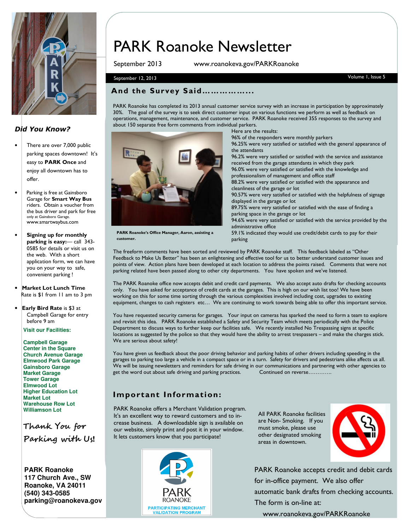

## Did You Know?

- There are over 7,000 public parking spaces downtown! It's easy to PARK Once and enjoy all downtown has to offer.
- Parking is free at Gainsboro Garage for Smart Way Bus riders. Obtain a voucher from the bus driver and park for free only at Gainsboro Garage. www.smartwaybus.com
- Signing up for monthly parking is easy:— call 343- 0585 for details or visit us on the web. With a short application form, we can have you on your way to safe, convenient parking !
- Market Lot Lunch Time Rate is \$1 from 11 am to 3 pm
- Early Bird Rate is \$3 at Campbell Garage for entry before 9 am

**Visit our Facilities:** 

**Campbell Garage Center in the Square Church Avenue Garage Elmwood Park Garage Gainsboro Garage Market Garage Tower Garage Elmwood Lot Higher Education Lot Market Lot Warehouse Row Lot Williamson Lot**

Thank You for Parking with Us!

**PARK Roanoke 117 Church Ave., SW Roanoke, VA 24011 (540) 343-0585 parking@roanokeva.gov** 

# PARK Roanoke Newsletter

September 2013 www.roanokeva.gov/PARKRoanoke

### September 12, 2013 Volume 1, Issue 5

customer.

### And the Survey Said……………...

PARK Roanoke has completed its 2013 annual customer service survey with an increase in participation by approximately 30%. The goal of the survey is to seek direct customer input on various functions we perform as well as feedback on operations, management, maintenance, and customer service. PARK Roanoke received 355 responses to the survey and about 150 separate free form comments from individual parkers. Here are the results:



96% of the responders were monthly parkers 96.25% were very satisfied or satisfied with the general appearance of the attendants 96.2% were very satisfied or satisfied with the service and assistance received from the garage attendants in which they park 96.0% were very satisfied or satisfied with the knowledge and professionalism of management and office staff 88.2% were very satisfied or satisfied with the appearance and cleanliness of the garage or lot 90.57% were very satisfied or satisfied with the helpfulness of signage displayed in the garage or lot 89.75% were very satisfied or satisfied with the ease of finding a parking space in the garage or lot 94.6% were very satisfied or satisfied with the service provided by the administrative office 59.1% indicated they would use credit/debit cards to pay for their

parking

The freeform comments have been sorted and reviewed by PARK Roanoke staff. This feedback labeled as "Other Feedback to Make Us Better" has been an enlightening and effective tool for us to better understand customer issues and points of view. Action plans have been developed at each location to address the points raised. Comments that were not parking related have been passed along to other city departments. You have spoken and we've listened.

The PARK Roanoke office now accepts debit and credit card payments. We also accept auto drafts for checking accounts only. You have asked for acceptance of credit cards at the garages. This is high on our wish list too! We have been working on this for some time sorting through the various complexities involved including cost, upgrades to existing equipment, changes to cash registers etc… We are continuing to work towards being able to offer this important service.

You have requested security cameras for garages. Your input on cameras has sparked the need to form a team to explore and revisit this idea. PARK Roanoke established a Safety and Security Team which meets periodically with the Police Department to discuss ways to further keep our facilities safe. We recently installed No Trespassing signs at specific locations as suggested by the police so that they would have the ability to arrest trespassers – and make the charges stick. We are serious about safety!

You have given us feedback about the poor driving behavior and parking habits of other drivers including speeding in the garages to parking too large a vehicle in a compact space or in a turn. Safety for drivers and pedestrians alike affects us all. We will be issuing newsletters and reminders for safe driving in our communications and partnering with other agencies to get the word out about safe driving and parking practices. Continued on reverse………….

# Important Information:

PARK Roanoke offers a Merchant Validation program. It's an excellent way to reward customers and to increase business. A downloadable sign is available on our website, simply print and post it in your window. It lets customers know that you participate!



All PARK Roanoke facilities are Non- Smoking. If you must smoke, please use other designated smoking areas in downtown.



PARK Roanoke accepts credit and debit cards for in-office payment. We also offer automatic bank drafts from checking accounts. The form is on-line at:

www.roanokeva.gov/PARKRoanoke